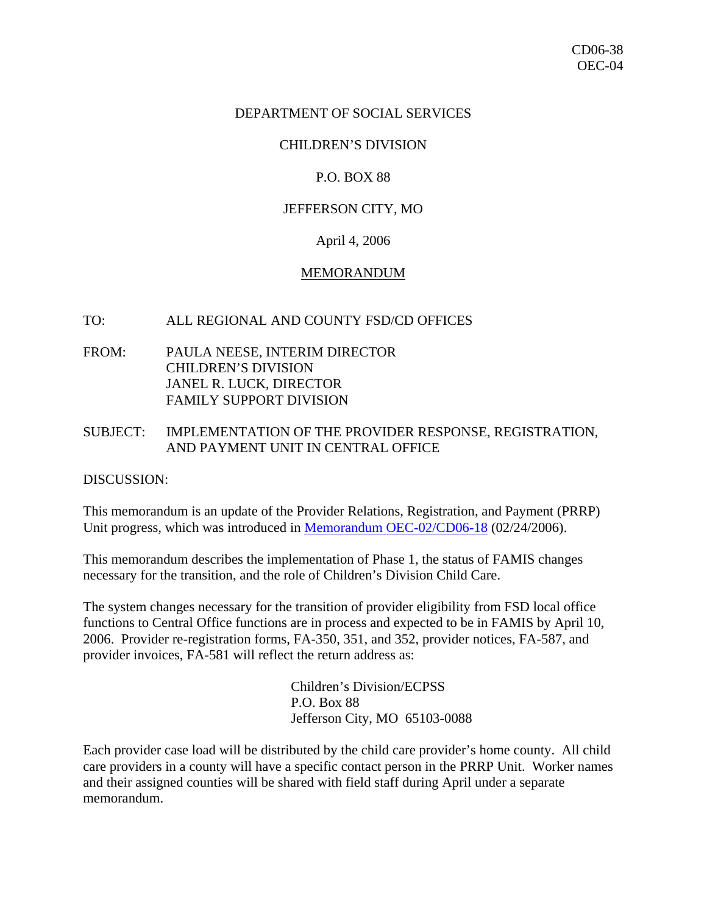## DEPARTMENT OF SOCIAL SERVICES

## CHILDREN'S DIVISION

## P.O. BOX 88

## JEFFERSON CITY, MO

#### April 4, 2006

#### MEMORANDUM

#### TO: ALL REGIONAL AND COUNTY FSD/CD OFFICES

FROM: PAULA NEESE, INTERIM DIRECTOR CHILDREN'S DIVISION JANEL R. LUCK, DIRECTOR FAMILY SUPPORT DIVISION

# SUBJECT: IMPLEMENTATION OF THE PROVIDER RESPONSE, REGISTRATION, AND PAYMENT UNIT IN CENTRAL OFFICE

DISCUSSION:

This memorandum is an update of the Provider Relations, Registration, and Payment (PRRP) Unit progress, which was introduced in [Memorandum OEC-02/CD06-18](http://www.dss.mo.gov/cd/info/memos/2006/18/cd0618.pdf) (02/24/2006).

This memorandum describes the implementation of Phase 1, the status of FAMIS changes necessary for the transition, and the role of Children's Division Child Care.

The system changes necessary for the transition of provider eligibility from FSD local office functions to Central Office functions are in process and expected to be in FAMIS by April 10, 2006. Provider re-registration forms, FA-350, 351, and 352, provider notices, FA-587, and provider invoices, FA-581 will reflect the return address as:

> Children's Division/ECPSS P.O. Box 88 Jefferson City, MO 65103-0088

Each provider case load will be distributed by the child care provider's home county. All child care providers in a county will have a specific contact person in the PRRP Unit. Worker names and their assigned counties will be shared with field staff during April under a separate memorandum.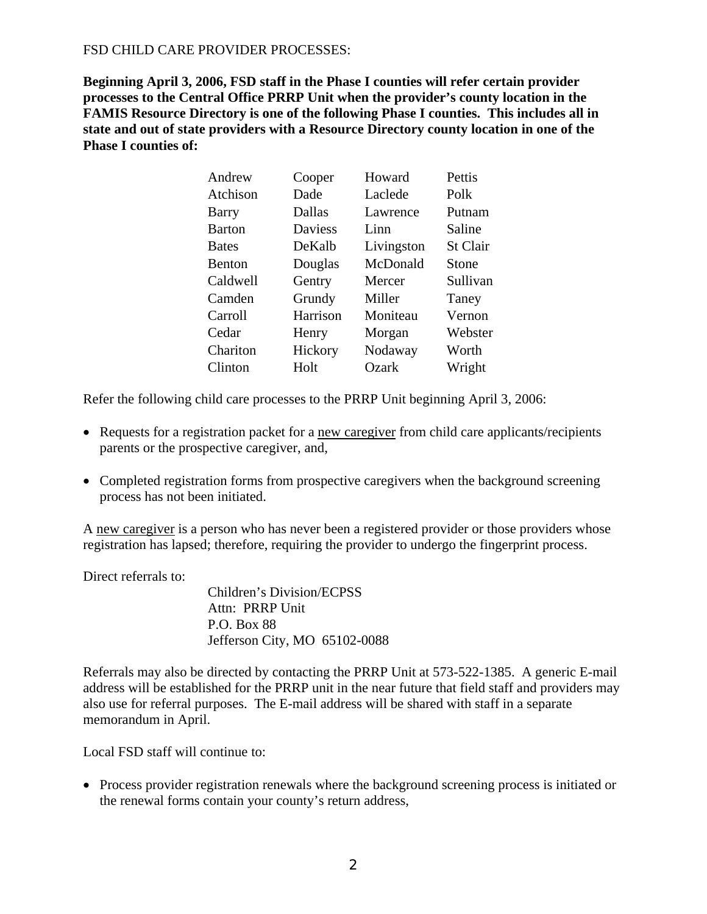# FSD CHILD CARE PROVIDER PROCESSES:

**Beginning April 3, 2006, FSD staff in the Phase I counties will refer certain provider processes to the Central Office PRRP Unit when the provider's county location in the FAMIS Resource Directory is one of the following Phase I counties. This includes all in state and out of state providers with a Resource Directory county location in one of the Phase I counties of:**

| Andrew        | Cooper         | Howard     | Pettis          |
|---------------|----------------|------------|-----------------|
| Atchison      | Dade           | Laclede    | Polk            |
| Barry         | Dallas         | Lawrence   | Putnam          |
| <b>Barton</b> | <b>Daviess</b> | Linn       | Saline          |
| <b>Bates</b>  | DeKalb         | Livingston | <b>St Clair</b> |
| <b>Benton</b> | Douglas        | McDonald   | Stone           |
| Caldwell      | Gentry         | Mercer     | Sullivan        |
| Camden        | Grundy         | Miller     | Taney           |
| Carroll       | Harrison       | Moniteau   | Vernon          |
| Cedar         | Henry          | Morgan     | Webster         |
| Chariton      | Hickory        | Nodaway    | Worth           |
| Clinton       | Holt           | Ozark      | Wright          |

Refer the following child care processes to the PRRP Unit beginning April 3, 2006:

- Requests for a registration packet for a new caregiver from child care applicants/recipients parents or the prospective caregiver, and,
- Completed registration forms from prospective caregivers when the background screening process has not been initiated.

A new caregiver is a person who has never been a registered provider or those providers whose registration has lapsed; therefore, requiring the provider to undergo the fingerprint process.

Direct referrals to:

 Children's Division/ECPSS Attn: PRRP Unit P.O. Box 88 Jefferson City, MO 65102-0088

Referrals may also be directed by contacting the PRRP Unit at 573-522-1385. A generic E-mail address will be established for the PRRP unit in the near future that field staff and providers may also use for referral purposes. The E-mail address will be shared with staff in a separate memorandum in April.

Local FSD staff will continue to:

• Process provider registration renewals where the background screening process is initiated or the renewal forms contain your county's return address,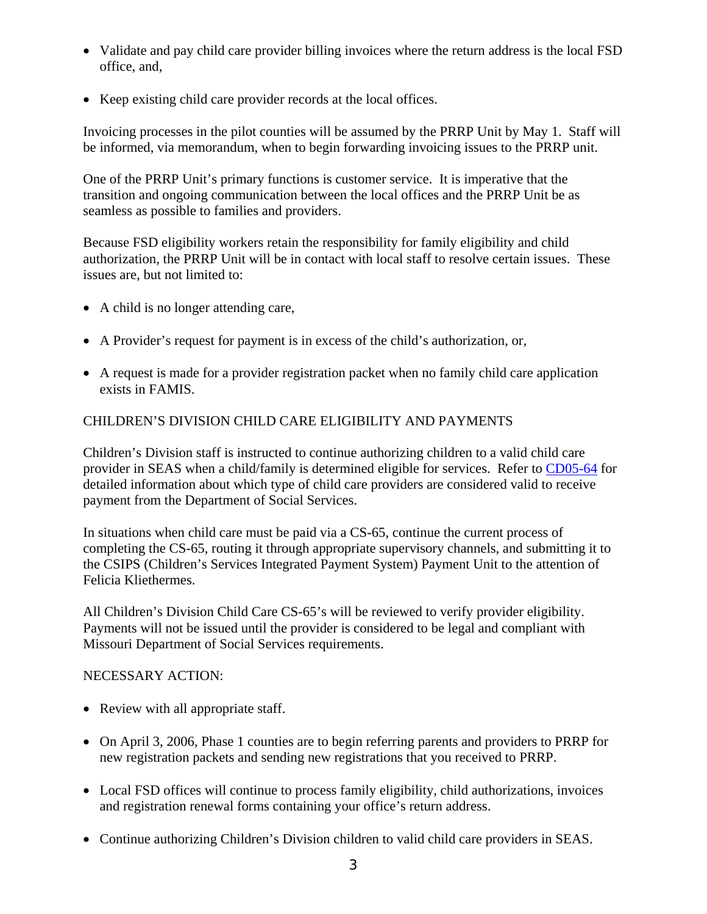- Validate and pay child care provider billing invoices where the return address is the local FSD office, and,
- Keep existing child care provider records at the local offices.

Invoicing processes in the pilot counties will be assumed by the PRRP Unit by May 1. Staff will be informed, via memorandum, when to begin forwarding invoicing issues to the PRRP unit.

One of the PRRP Unit's primary functions is customer service. It is imperative that the transition and ongoing communication between the local offices and the PRRP Unit be as seamless as possible to families and providers.

Because FSD eligibility workers retain the responsibility for family eligibility and child authorization, the PRRP Unit will be in contact with local staff to resolve certain issues. These issues are, but not limited to:

- A child is no longer attending care,
- A Provider's request for payment is in excess of the child's authorization, or,
- A request is made for a provider registration packet when no family child care application exists in FAMIS.

# CHILDREN'S DIVISION CHILD CARE ELIGIBILITY AND PAYMENTS

Children's Division staff is instructed to continue authorizing children to a valid child care provider in SEAS when a child/family is determined eligible for services. Refer to [CD05-64](http://www.dss.mo.gov/cd/info/memos/2005/64/cd0564.pdf) for detailed information about which type of child care providers are considered valid to receive payment from the Department of Social Services.

In situations when child care must be paid via a CS-65, continue the current process of completing the CS-65, routing it through appropriate supervisory channels, and submitting it to the CSIPS (Children's Services Integrated Payment System) Payment Unit to the attention of Felicia Kliethermes.

All Children's Division Child Care CS-65's will be reviewed to verify provider eligibility. Payments will not be issued until the provider is considered to be legal and compliant with Missouri Department of Social Services requirements.

# NECESSARY ACTION:

- Review with all appropriate staff.
- On April 3, 2006, Phase 1 counties are to begin referring parents and providers to PRRP for new registration packets and sending new registrations that you received to PRRP.
- Local FSD offices will continue to process family eligibility, child authorizations, invoices and registration renewal forms containing your office's return address.
- Continue authorizing Children's Division children to valid child care providers in SEAS.